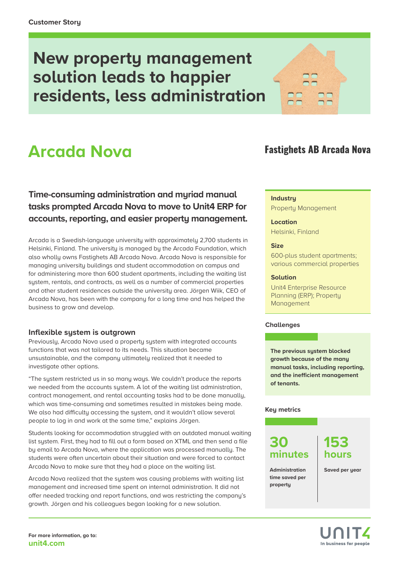# **New property management solution leads to happier residents, less administration**

# **Arcada Nova**

**Time-consuming administration and myriad manual tasks prompted Arcada Nova to move to Unit4 ERP for accounts, reporting, and easier property management.**

Arcada is a Swedish-language university with approximately 2,700 students in Helsinki, Finland. The university is managed by the Arcada Foundation, which also wholly owns Fastighets AB Arcada Nova. Arcada Nova is responsible for managing university buildings and student accommodation on campus and for administering more than 600 student apartments, including the waiting list system, rentals, and contracts, as well as a number of commercial properties and other student residences outside the university area. Jörgen Wiik, CEO of Arcada Nova, has been with the company for a long time and has helped the business to grow and develop.

#### **Inflexible system is outgrown**

Previously, Arcada Nova used a property system with integrated accounts functions that was not tailored to its needs. This situation became unsustainable, and the company ultimately realized that it needed to investigate other options.

"The system restricted us in so many ways. We couldn't produce the reports we needed from the accounts system. A lot of the waiting list administration, contract management, and rental accounting tasks had to be done manually, which was time-consuming and sometimes resulted in mistakes being made. We also had difficulty accessing the system, and it wouldn't allow several people to log in and work at the same time," explains Jörgen.

Students looking for accommodation struggled with an outdated manual waiting list system. First, they had to fill out a form based on XTML and then send a file by email to Arcada Nova, where the application was processed manually. The students were often uncertain about their situation and were forced to contact Arcada Nova to make sure that they had a place on the waiting list.

Arcada Nova realized that the system was causing problems with waiting list management and increased time spent on internal administration. It did not offer needed tracking and report functions, and was restricting the company's growth. Jörgen and his colleagues began looking for a new solution.



#### **Industry**

Property Management

#### **Location**

Helsinki, Finland

#### **Size**

600-plus student apartments; various commercial properties

#### **Solution**

[Unit4 Enterprise Resource](https://www.unit4.com/sv/products/erp-accounting-software)  [Planning](https://www.unit4.com/sv/products/erp-accounting-software) (ERP); Property Management

#### **Challenges**

**The previous system blocked growth because of the many manual tasks, including reporting, and the inefficient management of tenants.**

#### **Key metrics**

## **30 minutes**

## **153 hours**

**Administration time saved per property**

**Saved per year**